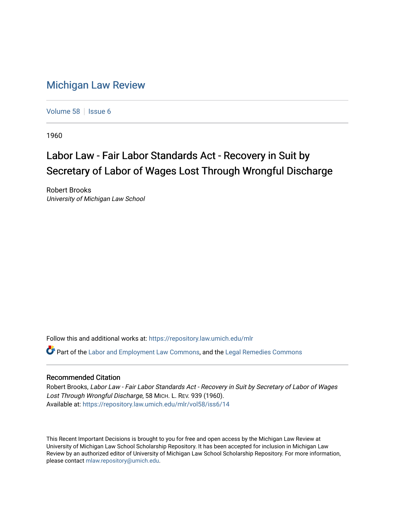## [Michigan Law Review](https://repository.law.umich.edu/mlr)

[Volume 58](https://repository.law.umich.edu/mlr/vol58) | [Issue 6](https://repository.law.umich.edu/mlr/vol58/iss6)

1960

## Labor Law - Fair Labor Standards Act - Recovery in Suit by Secretary of Labor of Wages Lost Through Wrongful Discharge

Robert Brooks University of Michigan Law School

Follow this and additional works at: [https://repository.law.umich.edu/mlr](https://repository.law.umich.edu/mlr?utm_source=repository.law.umich.edu%2Fmlr%2Fvol58%2Fiss6%2F14&utm_medium=PDF&utm_campaign=PDFCoverPages) 

Part of the [Labor and Employment Law Commons](http://network.bepress.com/hgg/discipline/909?utm_source=repository.law.umich.edu%2Fmlr%2Fvol58%2Fiss6%2F14&utm_medium=PDF&utm_campaign=PDFCoverPages), and the [Legal Remedies Commons](http://network.bepress.com/hgg/discipline/618?utm_source=repository.law.umich.edu%2Fmlr%2Fvol58%2Fiss6%2F14&utm_medium=PDF&utm_campaign=PDFCoverPages) 

## Recommended Citation

Robert Brooks, Labor Law - Fair Labor Standards Act - Recovery in Suit by Secretary of Labor of Wages Lost Through Wrongful Discharge, 58 MICH. L. REV. 939 (1960). Available at: [https://repository.law.umich.edu/mlr/vol58/iss6/14](https://repository.law.umich.edu/mlr/vol58/iss6/14?utm_source=repository.law.umich.edu%2Fmlr%2Fvol58%2Fiss6%2F14&utm_medium=PDF&utm_campaign=PDFCoverPages) 

This Recent Important Decisions is brought to you for free and open access by the Michigan Law Review at University of Michigan Law School Scholarship Repository. It has been accepted for inclusion in Michigan Law Review by an authorized editor of University of Michigan Law School Scholarship Repository. For more information, please contact [mlaw.repository@umich.edu.](mailto:mlaw.repository@umich.edu)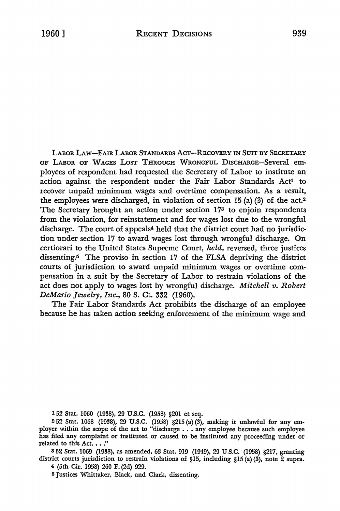LABOR LAW-FAIR LABOR STANDARDS ACT-RECOVERY IN SUIT BY SECRETARY OF LABOR OF WAGES LosT THROUGH WRONGFUL DISCHARGE-Several employees of respondent had requested the Secretary of Labor to institute an action against the respondent under the Fair Labor Standards Act<sup>1</sup> to recover unpaid minimum wages and overtime compensation. As a result, the employees were discharged, in violation of section 15 (a) (3) of the act.<sup>2</sup> The Secretary brought an action under section 173 to enjoin respondents from the violation, for reinstatement and for wages lost due to the wrongful discharge. The court of appeals<sup>4</sup> held that the district court had no jurisdiction under section 17 to award wages lost through wrongful discharge. **On**  certiorari to the United States Supreme Court, *held,* reversed, three justices dissenting.<sup>5</sup> The proviso in section 17 of the FLSA depriving the district courts of jurisdiction to award unpaid minimum wages or overtime compensation in a suit by the Secretary of Labor to restrain violations of the act does not apply to wages lost by wrongful discharge. *Mitchell v. Robert DeMario Jewelry, Inc.,* 80 S. Ct. 332 (1960).

The Fair Labor Standards Act prohibits the discharge of an employee because he has taken action seeking enforcement of the minimum wage and

152 Stat. 1060 (1938), 29 U.S.C. (1958) §201 et seq.

2 52 Stat. 1068 (1938), 29 U.S.C. (1958) §215 (a)(3), making it unlawful for any em-ployer within the scope of the act to "discharge ••• any employee because such employee has filed any complaint or instituted or caused to be instituted any proceeding under or related to this Act. . . ."

s 52 Stat. 1069 (1938), as amended, 63 Stat. 919 (1949), 29 U.S.C. (1958) §217, granting district courts jurisdiction to restrain violations of §15, including §15 (a) (3), note 2 supra.

4 (5th Cir. 1958) 260 F. (2d) 929.

<sup>5</sup> Justices Whittaker, Black, and Clark, dissenting.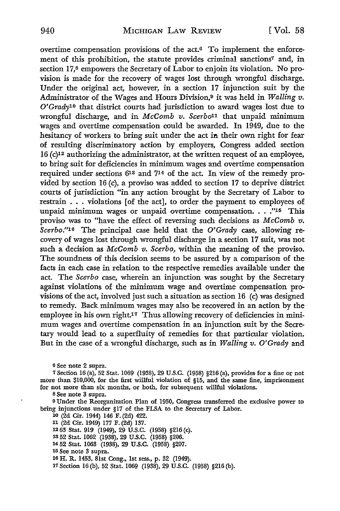overtime compensation provisions of the act.6 To implement the enforcement of this prohibition, the statute provides criminal sanctions7 and, in section 17.8 empowers the Secretary of Labor to enjoin its violation. No provision is made for the recovery of wages lost through wrongful discharge. Under the original act, however, in a section 17 injunction suit by the Administrator of the Wages and Hours Division,9 it was held in *Walling v. O'Grady1 <sup>0</sup>*that district courts had jurisdiction to award wages lost due to wrongful discharge, and in *McComb v. Scerbo11* that unpaid minimum wages and overtime compensation could be awarded. In 1949, due to the hesitancy of workers to bring suit under the act in their own right for fear of resulting discriminatory action by employers, Congress added section 16 (c)12 authorizing the administrator, at the written request of an employee, to bring suit for deficiencies in minimum wages and overtime compensation required under sections  $6^{13}$  and  $7^{14}$  of the act. In view of the remedy provided by section 16 (c), a proviso was added to section 17 to deprive district courts of jurisdiction "in any action brought by the Secretary of Labor to restrain ... violations [of the act], to order the payment to employees of unpaid minimum wages or unpaid overtime compensation. . . .''15 This proviso was to "have the effect of reversing such decisions as *McComb v. Scerbo.''16* The principal case held that the *O'Grady* case, allowing recovery of wages lost through wrongful discharge in a section 17 suit, was not such a decision as *McComb v. Scerbo,* within the meaning of the proviso. The soundness of this decision seems to be assured by a comparison of the facts in each case in relation to the respective remedies available under the act. The *Scerbo* case, wherein an injunction was sought by the Secretary against violations of the minimum wage and overtime compensation provisions of the act, involved just such a situation as section 16 (c) was designed to remedy. Back minimum wages may also be recovered in an action by the employee in his own right.<sup>17</sup> Thus allowing recovery of deficiencies in minimum wages and overtime compensation in an injunction suit by the Secretary would lead to a superfluity of remedies for that particular violation. But in the case of a wrongful discharge, such as in *Walling v. O'Grady* and

6 See note 2 supra.

<sup>7</sup>Section 16 (a), 52 Stat. 1069 (1938), 29 U.S.C. (1958) §216 (a), provides for a fine or not more than \$10,000, for the first willful violation of §15, and the same fine, imprisonment for not more than six months, or both, for subsequent willful violations.

s See note 3 supra.

<sup>9</sup>Under the Reorganization Plan of 1950, Congress transferred the exclusive power to bring injunctions under §17 of the FLSA to the Secretary of Labor.

10 (2d Cir. 1944) 146 F. (2d) 422. 11 (2d Cir. 1949) 177 F. (2d) 137. 12 63 Stat. 919 (1949), 29 U.S.C. (1958) §216 (c). 1352 Stat. 1062 (1938), 29 U.S.C. (1958) §206. 14 52 Stat. 1063 (1938), 29 U.S.C. (1958) §207. 15 See note 3 supra. 16 H. R. 1453, 81st Cong., 1st sess., p. 32 (1949).

17 Section 16 (b), 52 Stat. 1069 (1938), 29 U.S.C. (1958) §216 (b).